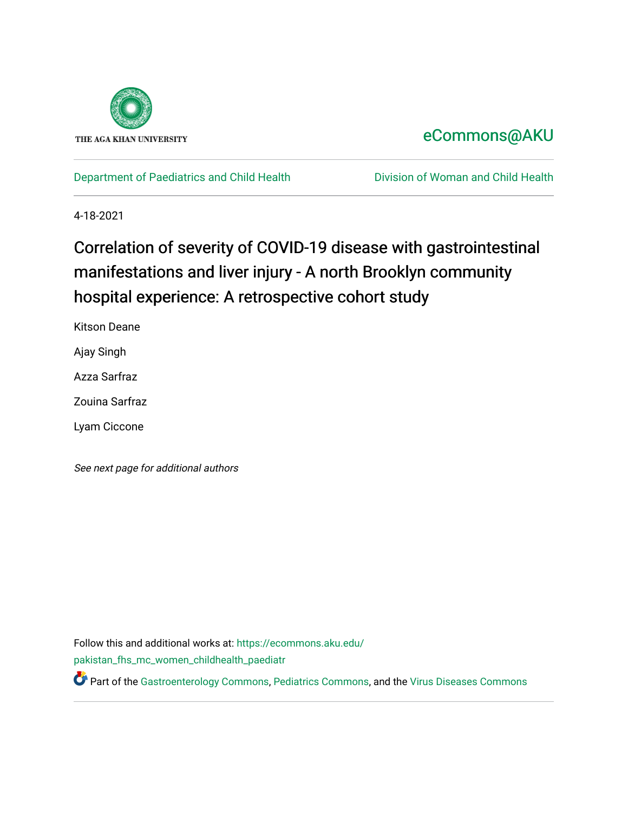

## [eCommons@AKU](https://ecommons.aku.edu/)

[Department of Paediatrics and Child Health](https://ecommons.aku.edu/pakistan_fhs_mc_women_childhealth_paediatr) **Division of Woman and Child Health** 

4-18-2021

# Correlation of severity of COVID-19 disease with gastrointestinal manifestations and liver injury - A north Brooklyn community hospital experience: A retrospective cohort study

Kitson Deane

Ajay Singh

Azza Sarfraz

Zouina Sarfraz

Lyam Ciccone

See next page for additional authors

Follow this and additional works at: [https://ecommons.aku.edu/](https://ecommons.aku.edu/pakistan_fhs_mc_women_childhealth_paediatr?utm_source=ecommons.aku.edu%2Fpakistan_fhs_mc_women_childhealth_paediatr%2F1022&utm_medium=PDF&utm_campaign=PDFCoverPages) [pakistan\\_fhs\\_mc\\_women\\_childhealth\\_paediatr](https://ecommons.aku.edu/pakistan_fhs_mc_women_childhealth_paediatr?utm_source=ecommons.aku.edu%2Fpakistan_fhs_mc_women_childhealth_paediatr%2F1022&utm_medium=PDF&utm_campaign=PDFCoverPages) 

Part of the [Gastroenterology Commons](http://network.bepress.com/hgg/discipline/687?utm_source=ecommons.aku.edu%2Fpakistan_fhs_mc_women_childhealth_paediatr%2F1022&utm_medium=PDF&utm_campaign=PDFCoverPages), [Pediatrics Commons,](http://network.bepress.com/hgg/discipline/700?utm_source=ecommons.aku.edu%2Fpakistan_fhs_mc_women_childhealth_paediatr%2F1022&utm_medium=PDF&utm_campaign=PDFCoverPages) and the [Virus Diseases Commons](http://network.bepress.com/hgg/discipline/998?utm_source=ecommons.aku.edu%2Fpakistan_fhs_mc_women_childhealth_paediatr%2F1022&utm_medium=PDF&utm_campaign=PDFCoverPages)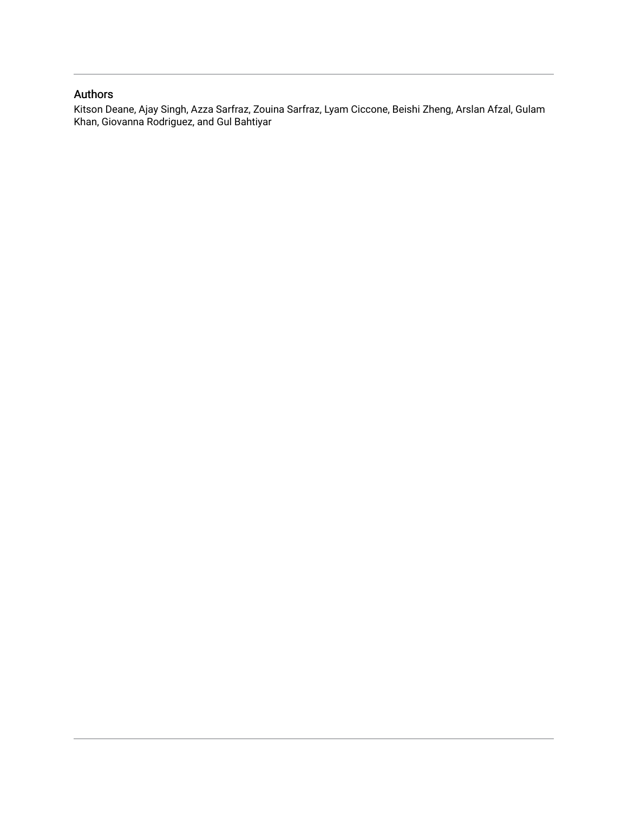## Authors

<span id="page-1-1"></span><span id="page-1-0"></span>Kitson Deane, Ajay Singh, Azza Sarfraz, Zouina Sarfraz, Lyam Ciccone, Beishi Zheng, Arslan Afzal, Gulam Khan, Giovanna Rodriguez, and Gul Bahtiyar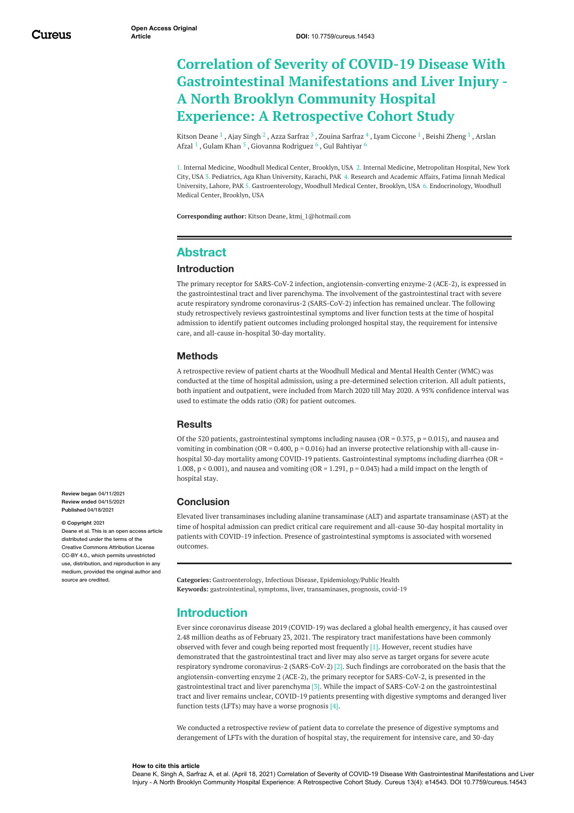## **Correlation of Severity of COVID-19 Disease With Gastrointestinal Manifestations and Liver Injury - A North Brooklyn Community Hospital Experience: A Retrospective Cohort Study**

<span id="page-2-0"></span>[Kitson](https://www.cureus.com/users/235880-kitson-deane) Deane  $^1$  , Ajay [Singh](https://www.cureus.com/users/111913-ajay-singh)  $^2$  , Azza [Sarfraz](https://www.cureus.com/users/55680-zouina-sarfraz-)  $^3$  , Zouina Sarfraz  $^4$  , Lyam [Ciccone](https://www.cureus.com/users/235896-lyam-ciccone)  $^1$  , Beishi [Zheng](https://www.cureus.com/users/235897-beishi-zheng)  $^1$  , Arslan  $\,$ Afzal  $^1$  , [Gulam](https://www.cureus.com/users/235899-gulam-m-khan) Khan  $^5$  , Giovanna [Rodriguez](https://www.cureus.com/users/235898-arslan-afzal)  $^6$  , Gul [Bahtiyar](https://www.cureus.com/users/235901-gul-bahtiyar)  $^6$ 

1. Internal Medicine, Woodhull Medical Center, Brooklyn, USA 2. Internal Medicine, Metropolitan Hospital, New York City, USA 3. Pediatrics, Aga Khan University, Karachi, PAK 4. Research and Academic Affairs, Fatima Jinnah Medical University, Lahore, PAK 5. Gastroenterology, Woodhull Medical Center, Brooklyn, USA 6. Endocrinology, Woodhull Medical Center, Brooklyn, USA

**Corresponding author:** Kitson Deane, ktmj\_1@hotmail.com

## **Abstract**

### **Introduction**

The primary receptor for SARS-CoV-2 infection, angiotensin-converting enzyme-2 (ACE-2), is expressed in the gastrointestinal tract and liver parenchyma. The involvement of the gastrointestinal tract with severe acute respiratory syndrome coronavirus-2 (SARS-CoV-2) infection has remained unclear. The following study retrospectively reviews gastrointestinal symptoms and liver function tests at the time of hospital admission to identify patient outcomes including prolonged hospital stay, the requirement for intensive care, and all-cause in-hospital 30-day mortality.

#### **Methods**

A retrospective review of patient charts at the Woodhull Medical and Mental Health Center (WMC) was conducted at the time of hospital admission, using a pre-determined selection criterion. All adult patients, both inpatient and outpatient, were included from March 2020 till May 2020. A 95% confidence interval was used to estimate the odds ratio (OR) for patient outcomes.

#### **Results**

Of the 520 patients, gastrointestinal symptoms including nausea (OR =  $0.375$ , p =  $0.015$ ), and nausea and vomiting in combination (OR = 0.400,  $p = 0.016$ ) had an inverse protective relationship with all-cause inhospital 30-day mortality among COVID-19 patients. Gastrointestinal symptoms including diarrhea (OR = 1.008, p < 0.001), and nausea and vomiting (OR = 1.291, p = 0.043) had a mild impact on the length of hospital stay.

## **Conclusion**

Elevated liver transaminases including alanine transaminase (ALT) and aspartate transaminase (AST) at the time of hospital admission can predict critical care requirement and all-cause 30-day hospital mortality in patients with COVID-19 infection. Presence of gastrointestinal symptoms is associated with worsened outcomes.

**Categories:** Gastroenterology, Infectious Disease, Epidemiology/Public Health **Keywords:** gastrointestinal, symptoms, liver, transaminases, prognosis, covid-19

## **Introduction**

Ever since coronavirus disease 2019 (COVID-19) was declared a global health emergency, it has caused over 2.48 million deaths as of February 23, 2021. The respiratory tract manifestations have been commonly observed with fever and cough being reported most frequently [1]. However, recent studies have demonstrated that the gastrointestinal tract and liver may also serve as target organs for severe acute respiratory syndrome coronavirus-2 (SARS-CoV-2) [2]. Such findings are corroborated on the basis that the angiotensin-converting enzyme 2 (ACE-2), the primary receptor for SARS-CoV-2, is presented in the gastrointestinal tract and liver parenchyma [3]. While the impact of SARS-CoV-2 on the gastrointestinal tract and liver remains unclear, COVID-19 patients presenting with digestive symptoms and deranged liver function tests (LFTs) may have a worse prognosis [4].

We conducted a retrospective review of patient data to correlate the presence of digestive symptoms and derangement of LFTs with the duration of hospital stay, the requirement for intensive care, and 30-day

<span id="page-2-1"></span>**Review began** 04/11/2021 **Review ended** 04/15/2021 **Published** 04/18/2021

#### **© Copyright** 2021

Deane et al. This is an open access article distributed under the terms of the Creative Commons Attribution License CC-BY 4.0., which permits unrestricted use, distribution, and reproduction in any medium, provided the original author and source are credited.

#### **How to cite this article**

Deane K, Singh A, Sarfraz A, et al. (April 18, 2021) Correlation of Severity of COVID-19 Disease With Gastrointestinal Manifestations and Liver Injury - A North Brooklyn Community Hospital Experience: A Retrospective Cohort Study. Cureus 13(4): e14543. DOI 10.7759/cureus.14543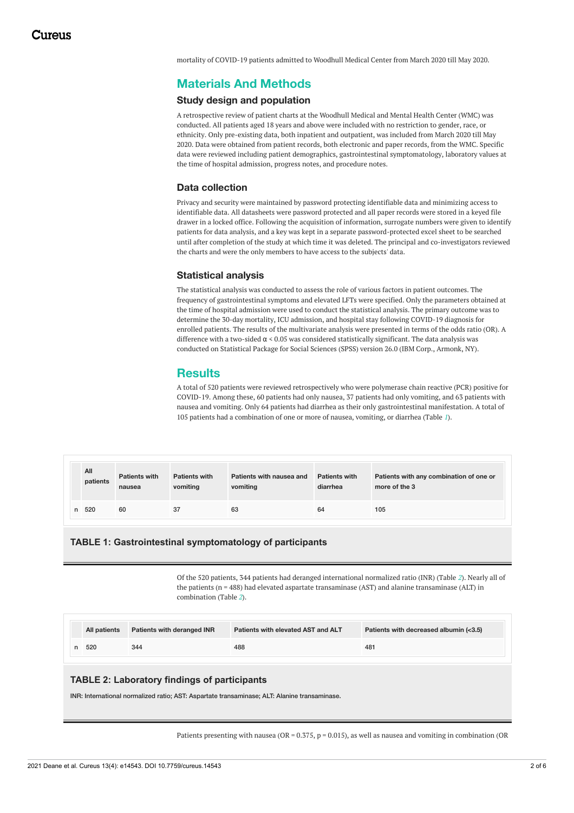mortality of COVID-19 patients admitted to Woodhull Medical Center from March 2020 till May 2020.

## **Materials And Methods**

## <span id="page-3-0"></span>**Study design and population**

A retrospective review of patient charts at the Woodhull Medical and Mental Health Center (WMC) was conducted. All patients aged 18 years and above were included with no restriction to gender, race, or ethnicity. Only pre-existing data, both inpatient and outpatient, was included from March 2020 till May 2020. Data were obtained from patient records, both electronic and paper records, from the WMC. Specific data were reviewed including patient demographics, gastrointestinal symptomatology, laboratory values at the time of hospital admission, progress notes, and procedure notes.

## **Data collection**

Privacy and security were maintained by password protecting identifiable data and minimizing access to identifiable data. All datasheets were password protected and all paper records were stored in a keyed file drawer in a locked office. Following the acquisition of information, surrogate numbers were given to identify patients for data analysis, and a key was kept in a separate password-protected excel sheet to be searched until after completion of the study at which time it was deleted. The principal and co-investigators reviewed the charts and were the only members to have access to the subjects' data.

#### **Statistical analysis**

The statistical analysis was conducted to assess the role of various factors in patient outcomes. The frequency of gastrointestinal symptoms and elevated LFTs were specified. Only the parameters obtained at the time of hospital admission were used to conduct the statistical analysis. The primary outcome was to determine the 30-day mortality, ICU admission, and hospital stay following COVID-19 diagnosis for enrolled patients. The results of the multivariate analysis were presented in terms of the odds ratio (OR). A difference with a two-sided  $\alpha$  < 0.05 was considered statistically significant. The data analysis was conducted on Statistical Package for Social Sciences (SPSS) version 26.0 (IBM Corp., Armonk, NY).

## **Results**

A total of 520 patients were reviewed retrospectively who were polymerase chain reactive (PCR) positive for COVID-19. Among these, 60 patients had only nausea, 37 patients had only vomiting, and 63 patients with nausea and vomiting. Only 64 patients had diarrhea as their only gastrointestinal manifestation. A total of 105 patients had a combination of one or more of nausea, vomiting, or diarrhea (Table *[1](#page-1-0)*).

|   | All<br>patients | <b>Patients with</b><br>nausea | <b>Patients with</b><br>vomiting | Patients with nausea and<br>vomiting | <b>Patients with</b><br>diarrhea | Patients with any combination of one or<br>more of the 3 |
|---|-----------------|--------------------------------|----------------------------------|--------------------------------------|----------------------------------|----------------------------------------------------------|
| n | 520             | 60                             | 37                               | 63                                   | 64                               | 105                                                      |

#### **TABLE 1: Gastrointestinal symptomatology of participants**

Of the 520 patients, 344 patients had deranged international normalized ratio (INR) (Table *[2](#page-1-1)*). Nearly all of the patients (n = 488) had elevated aspartate transaminase (AST) and alanine transaminase (ALT) in combination (Table *[2](#page-1-1)*).

|  | All patients | Patients with deranged INR | Patients with elevated AST and ALT | Patients with decreased albumin (<3.5) |
|--|--------------|----------------------------|------------------------------------|----------------------------------------|
|  | 520          | 344                        | 488                                | 481                                    |

## **TABLE 2: Laboratory findings of participants**

INR: International normalized ratio; AST: Aspartate transaminase; ALT: Alanine transaminase.

Patients presenting with nausea (OR =  $0.375$ , p =  $0.015$ ), as well as nausea and vomiting in combination (OR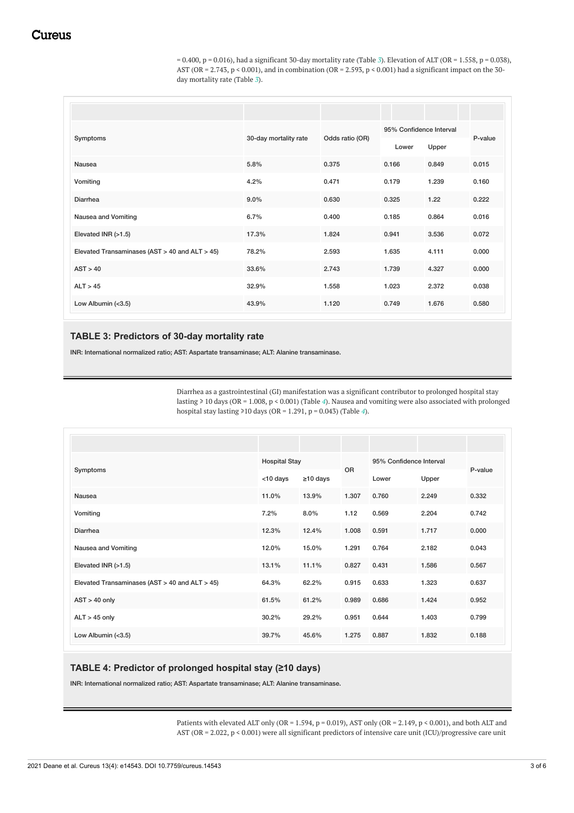$= 0.400$ , p  $= 0.016$ ), had a significant [3](#page-2-0)0-day mortality rate (Table 3). Elevation of ALT (OR  $= 1.558$ , p  $= 0.038$ ), AST (OR = 2.743,  $p < 0.001$ ), and in combination (OR = 2.593,  $p < 0.001$ ) had a significant impact on the 30day mortality rate (Table *[3](#page-2-0)*).

| Symptoms                                       | 30-day mortality rate | Odds ratio (OR) | 95% Confidence Interval |                | P-value |
|------------------------------------------------|-----------------------|-----------------|-------------------------|----------------|---------|
| <b>Nausea</b>                                  | 5.8%                  | 0.375           | Lower<br>0.166          | Upper<br>0.849 | 0.015   |
| Vomiting                                       | 4.2%                  | 0.471           | 0.179                   | 1.239          | 0.160   |
| Diarrhea                                       | $9.0\%$               | 0.630           | 0.325                   | 1.22           | 0.222   |
| Nausea and Vomiting                            | 6.7%                  | 0.400           | 0.185                   | 0.864          | 0.016   |
| Elevated INR $(>1.5)$                          | 17.3%                 | 1.824           | 0.941                   | 3.536          | 0.072   |
| Elevated Transaminases (AST > 40 and ALT > 45) | 78.2%                 | 2.593           | 1.635                   | 4.111          | 0.000   |
| AST > 40                                       | 33.6%                 | 2.743           | 1.739                   | 4.327          | 0.000   |
| ALT > 45                                       | 32.9%                 | 1.558           | 1.023                   | 2.372          | 0.038   |
| Low Albumin (<3.5)                             | 43.9%                 | 1.120           | 0.749                   | 1.676          | 0.580   |

## **TABLE 3: Predictors of 30-day mortality rate**

INR: International normalized ratio; AST: Aspartate transaminase; ALT: Alanine transaminase.

Diarrhea as a gastrointestinal (GI) manifestation was a significant contributor to prolonged hospital stay lasting ≥ 10 days (OR = 1.008, p < 0.001) (Table *[4](#page-2-1)*). Nausea and vomiting were also associated with prolonged hospital stay lasting ≥10 days (OR = 1.291, p = 0.043) (Table *[4](#page-2-1)*).

| Symptoms                                       |             | <b>Hospital Stay</b> |           | 95% Confidence Interval |       | P-value |
|------------------------------------------------|-------------|----------------------|-----------|-------------------------|-------|---------|
|                                                | $<$ 10 days | $\geq$ 10 days       | <b>OR</b> | Lower                   | Upper |         |
| Nausea                                         | 11.0%       | 13.9%                | 1.307     | 0.760                   | 2.249 | 0.332   |
| Vomiting                                       | 7.2%        | $8.0\%$              | 1.12      | 0.569                   | 2.204 | 0.742   |
| Diarrhea                                       | 12.3%       | 12.4%                | 1.008     | 0.591                   | 1.717 | 0.000   |
| Nausea and Vomiting                            | 12.0%       | 15.0%                | 1.291     | 0.764                   | 2.182 | 0.043   |
| Elevated INR (>1.5)                            | 13.1%       | 11.1%                | 0.827     | 0.431                   | 1.586 | 0.567   |
| Elevated Transaminases (AST > 40 and ALT > 45) | 64.3%       | 62.2%                | 0.915     | 0.633                   | 1.323 | 0.637   |
| $AST > 40$ only                                | 61.5%       | 61.2%                | 0.989     | 0.686                   | 1.424 | 0.952   |
| $ALT > 45$ only                                | 30.2%       | 29.2%                | 0.951     | 0.644                   | 1.403 | 0.799   |
| Low Albumin (<3.5)                             | 39.7%       | 45.6%                | 1.275     | 0.887                   | 1.832 | 0.188   |

## **TABLE 4: Predictor of prolonged hospital stay (≥10 days)**

INR: International normalized ratio; AST: Aspartate transaminase; ALT: Alanine transaminase.

Patients with elevated ALT only (OR = 1.594, p = 0.019), AST only (OR = 2.149, p < 0.001), and both ALT and AST (OR = 2.022, p < 0.001) were all significant predictors of intensive care unit (ICU)/progressive care unit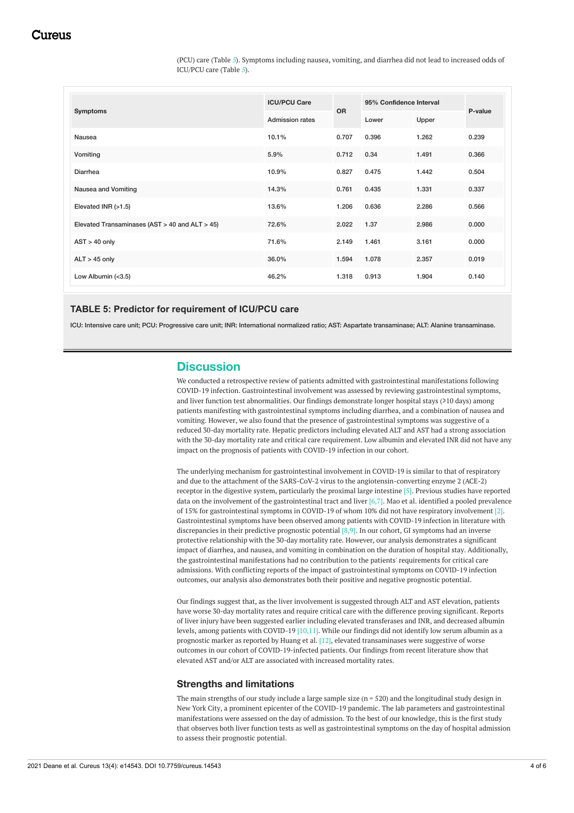(PCU) care (Table *[5](#page-3-0)*). Symptoms including nausea, vomiting, and diarrhea did not lead to increased odds of ICU/PCU care (Table *[5](#page-3-0)*).

| <b>Symptoms</b>                                | <b>ICU/PCU Care</b> | <b>OR</b> | 95% Confidence Interval |       | P-value |
|------------------------------------------------|---------------------|-----------|-------------------------|-------|---------|
|                                                | Admission rates     |           | Lower                   | Upper |         |
| Nausea                                         | 10.1%               | 0.707     | 0.396                   | 1.262 | 0.239   |
| Vomiting                                       | 5.9%                | 0.712     | 0.34                    | 1.491 | 0.366   |
| Diarrhea                                       | 10.9%               | 0.827     | 0.475                   | 1.442 | 0.504   |
| Nausea and Vomiting                            | 14.3%               | 0.761     | 0.435                   | 1.331 | 0.337   |
| Elevated INR $(>1.5)$                          | 13.6%               | 1.206     | 0.636                   | 2.286 | 0.566   |
| Elevated Transaminases (AST > 40 and ALT > 45) | 72.6%               | 2.022     | 1.37                    | 2.986 | 0.000   |
| $AST > 40$ only                                | 71.6%               | 2.149     | 1.461                   | 3.161 | 0.000   |
| $ALT > 45$ only                                | 36.0%               | 1.594     | 1.078                   | 2.357 | 0.019   |
| Low Albumin (<3.5)                             | 46.2%               | 1.318     | 0.913                   | 1.904 | 0.140   |

#### **TABLE 5: Predictor for requirement of ICU/PCU care**

ICU: Intensive care unit; PCU: Progressive care unit; INR: International normalized ratio; AST: Aspartate transaminase; ALT: Alanine transaminase.

## **Discussion**

We conducted a retrospective review of patients admitted with gastrointestinal manifestations following COVID-19 infection. Gastrointestinal involvement was assessed by reviewing gastrointestinal symptoms, and liver function test abnormalities. Our findings demonstrate longer hospital stays (≥10 days) among patients manifesting with gastrointestinal symptoms including diarrhea, and a combination of nausea and vomiting. However, we also found that the presence of gastrointestinal symptoms was suggestive of a reduced 30-day mortality rate. Hepatic predictors including elevated ALT and AST had a strong association with the 30-day mortality rate and critical care requirement. Low albumin and elevated INR did not have any impact on the prognosis of patients with COVID-19 infection in our cohort.

The underlying mechanism for gastrointestinal involvement in COVID-19 is similar to that of respiratory and due to the attachment of the SARS-CoV-2 virus to the angiotensin-converting enzyme 2 (ACE-2) receptor in the digestive system, particularly the proximal large intestine [5]. Previous studies have reported data on the involvement of the gastrointestinal tract and liver [6,7]. Mao et al. identified a pooled prevalence of 15% for gastrointestinal symptoms in COVID-19 of whom 10% did not have respiratory involvement [2]. Gastrointestinal symptoms have been observed among patients with COVID-19 infection in literature with discrepancies in their predictive prognostic potential [8,9]. In our cohort, GI symptoms had an inverse protective relationship with the 30-day mortality rate. However, our analysis demonstrates a significant impact of diarrhea, and nausea, and vomiting in combination on the duration of hospital stay. Additionally, the gastrointestinal manifestations had no contribution to the patients' requirements for critical care admissions. With conflicting reports of the impact of gastrointestinal symptoms on COVID-19 infection outcomes, our analysis also demonstrates both their positive and negative prognostic potential.

Our findings suggest that, as the liver involvement is suggested through ALT and AST elevation, patients have worse 30-day mortality rates and require critical care with the difference proving significant. Reports of liver injury have been suggested earlier including elevated transferases and INR, and decreased albumin levels, among patients with COVID-19 [10,11]. While our findings did not identify low serum albumin as a prognostic marker as reported by Huang et al. [12], elevated transaminases were suggestive of worse outcomes in our cohort of COVID-19-infected patients. Our findings from recent literature show that elevated AST and/or ALT are associated with increased mortality rates.

#### **Strengths and limitations**

The main strengths of our study include a large sample size  $(n = 520)$  and the longitudinal study design in New York City, a prominent epicenter of the COVID-19 pandemic. The lab parameters and gastrointestinal manifestations were assessed on the day of admission. To the best of our knowledge, this is the first study that observes both liver function tests as well as gastrointestinal symptoms on the day of hospital admission to assess their prognostic potential.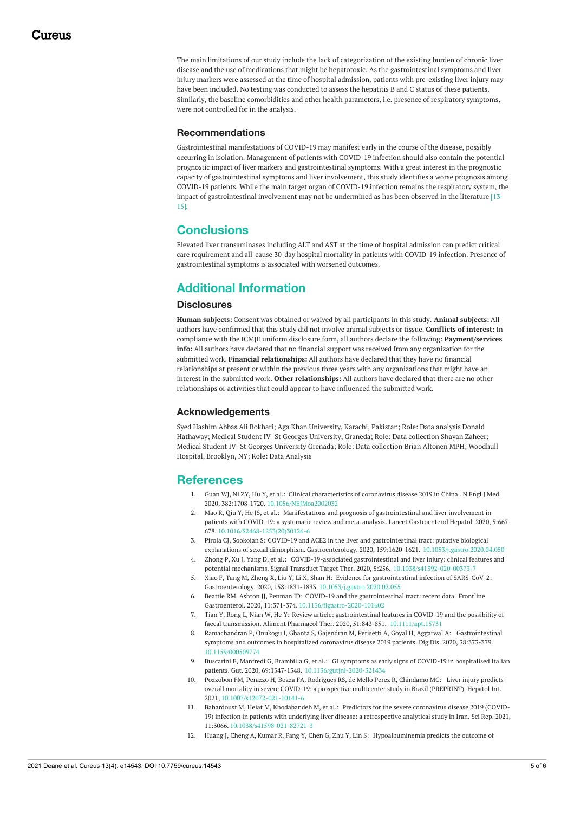The main limitations of our study include the lack of categorization of the existing burden of chronic liver disease and the use of medications that might be hepatotoxic. As the gastrointestinal symptoms and liver injury markers were assessed at the time of hospital admission, patients with pre-existing liver injury may have been included. No testing was conducted to assess the hepatitis B and C status of these patients. Similarly, the baseline comorbidities and other health parameters, i.e. presence of respiratory symptoms, were not controlled for in the analysis.

#### **Recommendations**

Gastrointestinal manifestations of COVID-19 may manifest early in the course of the disease, possibly occurring in isolation. Management of patients with COVID-19 infection should also contain the potential prognostic impact of liver markers and gastrointestinal symptoms. With a great interest in the prognostic capacity of gastrointestinal symptoms and liver involvement, this study identifies a worse prognosis among COVID-19 patients. While the main target organ of COVID-19 infection remains the respiratory system, the impact of gastrointestinal involvement may not be undermined as has been observed in the literature [13- 15].

## **Conclusions**

Elevated liver transaminases including ALT and AST at the time of hospital admission can predict critical care requirement and all-cause 30-day hospital mortality in patients with COVID-19 infection. Presence of gastrointestinal symptoms is associated with worsened outcomes.

## **Additional Information**

#### **Disclosures**

**Human subjects:** Consent was obtained or waived by all participants in this study. **Animal subjects:** All authors have confirmed that this study did not involve animal subjects or tissue. **Conflicts of interest:** In compliance with the ICMJE uniform disclosure form, all authors declare the following: **Payment/services info:** All authors have declared that no financial support was received from any organization for the submitted work. **Financial relationships:** All authors have declared that they have no financial relationships at present or within the previous three years with any organizations that might have an interest in the submitted work. **Other relationships:** All authors have declared that there are no other relationships or activities that could appear to have influenced the submitted work.

#### **Acknowledgements**

Syed Hashim Abbas Ali Bokhari; Aga Khan University, Karachi, Pakistan; Role: Data analysis Donald Hathaway; Medical Student IV- St Georges University, Graneda; Role: Data collection Shayan Zaheer; Medical Student IV- St Georges University Grenada; Role: Data collection Brian Altonen MPH; Woodhull Hospital, Brooklyn, NY; Role: Data Analysis

## **References**

- 1. Guan WJ, Ni ZY, Hu Y, et al.: Clinical [characteristics](https://dx.doi.org/10.1056/NEJMoa2002032) of coronavirus disease 2019 in China . N Engl J Med. 2020, 382:1708-1720. [10.1056/NEJMoa2002032](https://dx.doi.org/10.1056/NEJMoa2002032)
- 2. Mao R, Qiu Y, He JS, et al.: Manifestations and prognosis of [gastrointestinal](https://dx.doi.org/10.1016/S2468-1253(20)30126-6) and liver involvement in patients with COVID-19: a systematic review and meta-analysis. Lancet Gastroenterol Hepatol. 2020, 5:667- 678. [10.1016/S2468-1253\(20\)30126-6](https://dx.doi.org/10.1016/S2468-1253(20)30126-6)
- 3. Pirola CJ, Sookoian S: COVID-19 and ACE2 in the liver and gastrointestinal tract: putative biological explanations of sexual dimorphism. Gastroenterology. 2020, 159:1620-1621. [10.1053/j.gastro.2020.04.050](https://dx.doi.org/10.1053/j.gastro.2020.04.050)
- 4. Zhong P, Xu J, Yang D, et al.: COVID-19-associated gastrointestinal and liver injury: clinical features and potential mechanisms. Signal Transduct Target Ther. 2020, 5:256. [10.1038/s41392-020-00373-7](https://dx.doi.org/10.1038/s41392-020-00373-7)
- 5. Xiao F, Tang M, Zheng X, Liu Y, Li X, Shan H: Evidence for [gastrointestinal](https://dx.doi.org/10.1053/j.gastro.2020.02.055) infection of SARS-CoV-2. Gastroenterology. 2020, 158:1831-1833. [10.1053/j.gastro.2020.02.055](https://dx.doi.org/10.1053/j.gastro.2020.02.055)
- 6. Beattie RM, Ashton JJ, Penman ID: COVID-19 and the [gastrointestinal](https://dx.doi.org/10.1136/flgastro-2020-101602) tract: recent data . Frontline Gastroenterol. 2020, 11:371-374. [10.1136/flgastro-2020-101602](https://dx.doi.org/10.1136/flgastro-2020-101602)
- 7. Tian Y, Rong L, Nian W, He Y: Review article: gastrointestinal features in COVID-19 and the possibility of faecal transmission. Aliment Pharmacol Ther. 2020, 51:843-851. [10.1111/apt.15731](https://dx.doi.org/10.1111/apt.15731)
- 8. Ramachandran P, Onukogu I, Ghanta S, Gajendran M, Perisetti A, Goyal H, Aggarwal A: [Gastrointestinal](https://dx.doi.org/10.1159/000509774) symptoms and outcomes in hospitalized coronavirus disease 2019 patients. Dig Dis. 2020, 38:373-379. [10.1159/000509774](https://dx.doi.org/10.1159/000509774)
- 9. Buscarini E, Manfredi G, Brambilla G, et al.: GI symptoms as early signs of COVID-19 in hospitalised Italian patients. Gut. 2020, 69:1547-1548. [10.1136/gutjnl-2020-321434](https://dx.doi.org/10.1136/gutjnl-2020-321434)
- 10. Pozzobon FM, Perazzo H, Bozza FA, Rodrigues RS, de Mello Perez R, Chindamo MC: Liver injury predicts overall mortality in severe COVID-19: a prospective multicenter study in Brazil [\(PREPRINT\).](https://dx.doi.org/10.1007/s12072-021-10141-6) Hepatol Int. 2021, [10.1007/s12072-021-10141-6](https://dx.doi.org/10.1007/s12072-021-10141-6)
- 11. Bahardoust M, Heiat M, [Khodabandeh](https://dx.doi.org/10.1038/s41598-021-82721-3) M, et al.: Predictors for the severe coronavirus disease 2019 (COVID-19) infection in patients with underlying liver disease: a retrospective analytical study in Iran. Sci Rep. 2021, 11:3066. [10.1038/s41598-021-82721-3](https://dx.doi.org/10.1038/s41598-021-82721-3)
- 12. Huang J, Cheng A, Kumar R, Fang Y, Chen G, Zhu Y, Lin S: [Hypoalbuminemia](https://dx.doi.org/10.1002/jmv.26003) predicts the outcome of